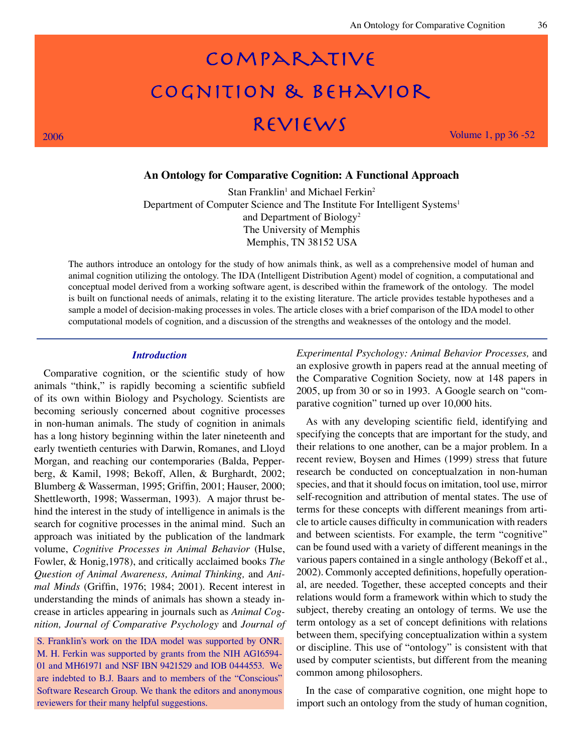# COMPARATIVE COGNITION & BEHAVIOR 2006  $REVIEWS$  Volume 1, pp 36 -52

## **An Ontology for Comparative Cognition: A Functional Approach**

 $Stan Franklin<sup>1</sup>$  and Michael Ferkin<sup>2</sup> Department of Computer Science and The Institute For Intelligent Systems<sup>1</sup> and Department of Biology2 The University of Memphis Memphis, TN 38152 USA

The authors introduce an ontology for the study of how animals think, as well as a comprehensive model of human and animal cognition utilizing the ontology. The IDA (Intelligent Distribution Agent) model of cognition, a computational and conceptual model derived from a working software agent, is described within the framework of the ontology. The model is built on functional needs of animals, relating it to the existing literature. The article provides testable hypotheses and a sample a model of decision-making processes in voles. The article closes with a brief comparison of the IDA model to other computational models of cognition, and a discussion of the strengths and weaknesses of the ontology and the model.

#### *Introduction*

Comparative cognition, or the scientific study of how animals "think," is rapidly becoming a scientific subfield of its own within Biology and Psychology. Scientists are becoming seriously concerned about cognitive processes in non-human animals. The study of cognition in animals has a long history beginning within the later nineteenth and early twentieth centuries with Darwin, Romanes, and Lloyd Morgan, and reaching our contemporaries (Balda, Pepperberg, & Kamil, 1998; Bekoff, Allen, & Burghardt, 2002; Blumberg & Wasserman, 1995; Griffin, 2001; Hauser, 2000; Shettleworth, 1998; Wasserman, 1993). A major thrust behind the interest in the study of intelligence in animals is the search for cognitive processes in the animal mind. Such an approach was initiated by the publication of the landmark volume, *Cognitive Processes in Animal Behavior* (Hulse, Fowler, & Honig,1978), and critically acclaimed books *The Question of Animal Awareness, Animal Thinking,* and *Animal Minds* (Griffin, 1976; 1984; 2001). Recent interest in understanding the minds of animals has shown a steady increase in articles appearing in journals such as *Animal Cognition, Journal of Comparative Psychology* and *Journal of* 

S. Franklin's work on the IDA model was supported by ONR. M. H. Ferkin was supported by grants from the NIH AG16594- 01 and MH61971 and NSF IBN 9421529 and IOB 0444553. We are indebted to B.J. Baars and to members of the "Conscious" Software Research Group. We thank the editors and anonymous reviewers for their many helpful suggestions.

*Experimental Psychology: Animal Behavior Processes,* and an explosive growth in papers read at the annual meeting of the Comparative Cognition Society, now at 148 papers in 2005, up from 30 or so in 1993. A Google search on "comparative cognition" turned up over 10,000 hits.

As with any developing scientific field, identifying and specifying the concepts that are important for the study, and their relations to one another, can be a major problem. In a recent review, Boysen and Himes (1999) stress that future research be conducted on conceptualzation in non-human species, and that it should focus on imitation, tool use, mirror self-recognition and attribution of mental states. The use of terms for these concepts with different meanings from article to article causes difficulty in communication with readers and between scientists. For example, the term "cognitive" can be found used with a variety of different meanings in the various papers contained in a single anthology (Bekoff et al., 2002). Commonly accepted definitions, hopefully operational, are needed. Together, these accepted concepts and their relations would form a framework within which to study the subject, thereby creating an ontology of terms. We use the term ontology as a set of concept definitions with relations between them, specifying conceptualization within a system or discipline. This use of "ontology" is consistent with that used by computer scientists, but different from the meaning common among philosophers.

In the case of comparative cognition, one might hope to import such an ontology from the study of human cognition,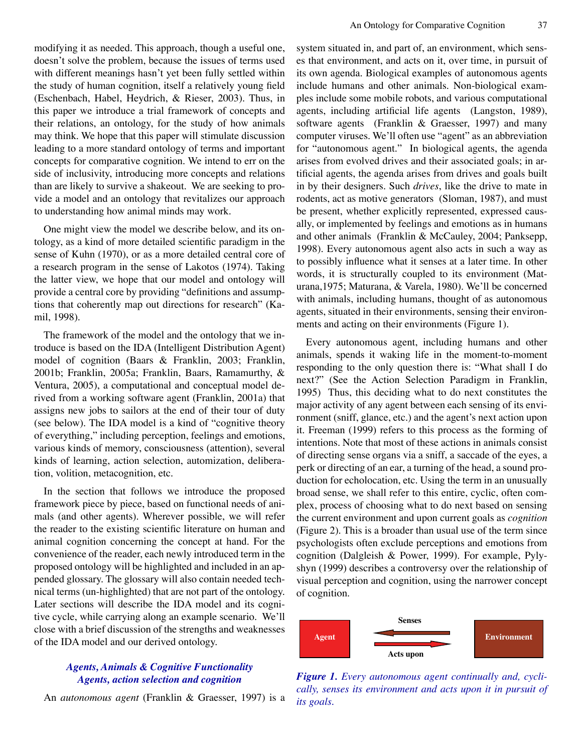modifying it as needed. This approach, though a useful one, doesn't solve the problem, because the issues of terms used with different meanings hasn't yet been fully settled within the study of human cognition, itself a relatively young field (Eschenbach, Habel, Heydrich, & Rieser, 2003). Thus, in this paper we introduce a trial framework of concepts and their relations, an ontology, for the study of how animals may think. We hope that this paper will stimulate discussion leading to a more standard ontology of terms and important concepts for comparative cognition. We intend to err on the side of inclusivity, introducing more concepts and relations than are likely to survive a shakeout. We are seeking to provide a model and an ontology that revitalizes our approach to understanding how animal minds may work.

One might view the model we describe below, and its ontology, as a kind of more detailed scientific paradigm in the sense of Kuhn (1970), or as a more detailed central core of a research program in the sense of Lakotos (1974). Taking the latter view, we hope that our model and ontology will provide a central core by providing "definitions and assumptions that coherently map out directions for research" (Kamil, 1998).

The framework of the model and the ontology that we introduce is based on the IDA (Intelligent Distribution Agent) model of cognition (Baars & Franklin, 2003; Franklin, 2001b; Franklin, 2005a; Franklin, Baars, Ramamurthy, & Ventura, 2005), a computational and conceptual model derived from a working software agent (Franklin, 2001a) that assigns new jobs to sailors at the end of their tour of duty (see below). The IDA model is a kind of "cognitive theory of everything," including perception, feelings and emotions, various kinds of memory, consciousness (attention), several kinds of learning, action selection, automization, deliberation, volition, metacognition, etc.

In the section that follows we introduce the proposed framework piece by piece, based on functional needs of animals (and other agents). Wherever possible, we will refer the reader to the existing scientific literature on human and animal cognition concerning the concept at hand. For the convenience of the reader, each newly introduced term in the proposed ontology will be highlighted and included in an appended glossary. The glossary will also contain needed technical terms (un-highlighted) that are not part of the ontology. Later sections will describe the IDA model and its cognitive cycle, while carrying along an example scenario. We'll close with a brief discussion of the strengths and weaknesses of the IDA model and our derived ontology.

## *Agents, Animals & Cognitive Functionality Agents, action selection and cognition*

An *autonomous agent* (Franklin & Graesser, 1997) is a

system situated in, and part of, an environment, which senses that environment, and acts on it, over time, in pursuit of its own agenda. Biological examples of autonomous agents include humans and other animals. Non-biological examples include some mobile robots, and various computational agents, including artificial life agents (Langston, 1989), software agents (Franklin & Graesser, 1997) and many computer viruses. We'll often use "agent" as an abbreviation for "autonomous agent." In biological agents, the agenda arises from evolved drives and their associated goals; in artificial agents, the agenda arises from drives and goals built in by their designers. Such *drives*, like the drive to mate in rodents, act as motive generators (Sloman, 1987), and must be present, whether explicitly represented, expressed causally, or implemented by feelings and emotions as in humans and other animals (Franklin & McCauley, 2004; Panksepp, 1998). Every autonomous agent also acts in such a way as to possibly influence what it senses at a later time. In other words, it is structurally coupled to its environment (Maturana,1975; Maturana, & Varela, 1980). We'll be concerned with animals, including humans, thought of as autonomous agents, situated in their environments, sensing their environments and acting on their environments (Figure 1).

Every autonomous agent, including humans and other animals, spends it waking life in the moment-to-moment responding to the only question there is: "What shall I do next?" (See the Action Selection Paradigm in Franklin, 1995) Thus, this deciding what to do next constitutes the major activity of any agent between each sensing of its environment (sniff, glance, etc.) and the agent's next action upon it. Freeman (1999) refers to this process as the forming of intentions. Note that most of these actions in animals consist of directing sense organs via a sniff, a saccade of the eyes, a perk or directing of an ear, a turning of the head, a sound production for echolocation, etc. Using the term in an unusually broad sense, we shall refer to this entire, cyclic, often complex, process of choosing what to do next based on sensing the current environment and upon current goals as *cognition* (Figure 2). This is a broader than usual use of the term since psychologists often exclude perceptions and emotions from cognition (Dalgleish & Power, 1999). For example, Pylyshyn (1999) describes a controversy over the relationship of visual perception and cognition, using the narrower concept of cognition.



*Figure 1. Every autonomous agent continually and, cyclically, senses its environment and acts upon it in pursuit of its goals.*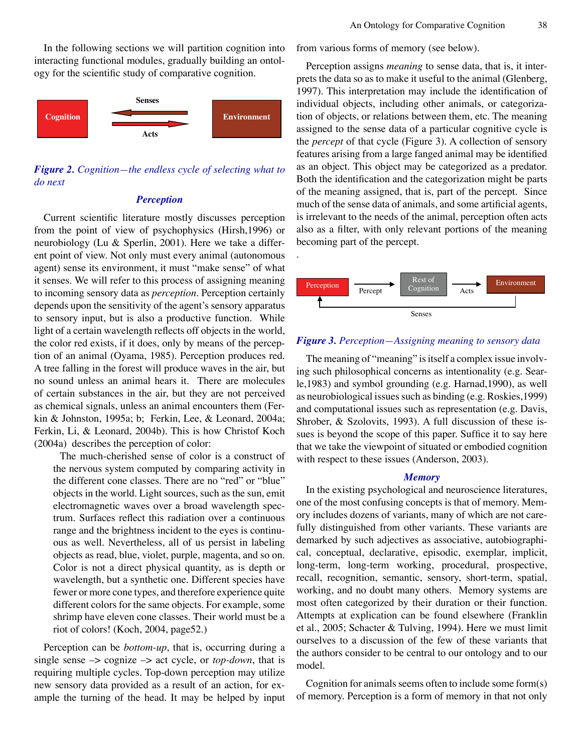In the following sections we will partition cognition into interacting functional modules, gradually building an ontology for the scientific study of comparative cognition.



*Figure 2. Cognition—the endless cycle of selecting what to do next*

## *Perception*

Current scientific literature mostly discusses perception from the point of view of psychophysics (Hirsh,1996) or neurobiology (Lu & Sperlin, 2001). Here we take a different point of view. Not only must every animal (autonomous agent) sense its environment, it must "make sense" of what it senses. We will refer to this process of assigning meaning to incoming sensory data as *perception*. Perception certainly depends upon the sensitivity of the agent's sensory apparatus to sensory input, but is also a productive function. While light of a certain wavelength reflects off objects in the world, the color red exists, if it does, only by means of the perception of an animal (Oyama, 1985). Perception produces red. A tree falling in the forest will produce waves in the air, but no sound unless an animal hears it. There are molecules of certain substances in the air, but they are not perceived as chemical signals, unless an animal encounters them (Ferkin & Johnston, 1995a; b; Ferkin, Lee, & Leonard, 2004a; Ferkin, Li, & Leonard, 2004b). This is how Christof Koch (2004a) describes the perception of color:

The much-cherished sense of color is a construct of the nervous system computed by comparing activity in the different cone classes. There are no "red" or "blue" objects in the world. Light sources, such as the sun, emit electromagnetic waves over a broad wavelength spectrum. Surfaces reflect this radiation over a continuous range and the brightness incident to the eyes is continuous as well. Nevertheless, all of us persist in labeling objects as read, blue, violet, purple, magenta, and so on. Color is not a direct physical quantity, as is depth or wavelength, but a synthetic one. Different species have fewer or more cone types, and therefore experience quite different colors for the same objects. For example, some shrimp have eleven cone classes. Their world must be a riot of colors! (Koch, 2004, page52.)

Perception can be *bottom-up*, that is, occurring during a single sense –> cognize –> act cycle, or *top-down*, that is requiring multiple cycles. Top-down perception may utilize new sensory data provided as a result of an action, for example the turning of the head. It may be helped by input from various forms of memory (see below).

Perception assigns *meaning* to sense data, that is, it interprets the data so as to make it useful to the animal (Glenberg, 1997). This interpretation may include the identification of individual objects, including other animals, or categorization of objects, or relations between them, etc. The meaning assigned to the sense data of a particular cognitive cycle is the *percept* of that cycle (Figure 3). A collection of sensory features arising from a large fanged animal may be identified as an object. This object may be categorized as a predator. Both the identification and the categorization might be parts of the meaning assigned, that is, part of the percept. Since much of the sense data of animals, and some artificial agents, is irrelevant to the needs of the animal, perception often acts also as a filter, with only relevant portions of the meaning becoming part of the percept.



.

#### *Figure 3. Perception—Assigning meaning to sensory data*

The meaning of "meaning" is itself a complex issue involving such philosophical concerns as intentionality (e.g. Searle,1983) and symbol grounding (e.g. Harnad,1990), as well as neurobiological issues such as binding (e.g. Roskies,1999) and computational issues such as representation (e.g. Davis, Shrober, & Szolovits, 1993). A full discussion of these issues is beyond the scope of this paper. Suffice it to say here that we take the viewpoint of situated or embodied cognition with respect to these issues (Anderson, 2003).

#### *Memory*

In the existing psychological and neuroscience literatures, one of the most confusing concepts is that of memory. Memory includes dozens of variants, many of which are not carefully distinguished from other variants. These variants are demarked by such adjectives as associative, autobiographical, conceptual, declarative, episodic, exemplar, implicit, long-term, long-term working, procedural, prospective, recall, recognition, semantic, sensory, short-term, spatial, working, and no doubt many others. Memory systems are most often categorized by their duration or their function. Attempts at explication can be found elsewhere (Franklin et al., 2005; Schacter & Tulving, 1994). Here we must limit ourselves to a discussion of the few of these variants that the authors consider to be central to our ontology and to our model.

Cognition for animals seems often to include some form(s) of memory. Perception is a form of memory in that not only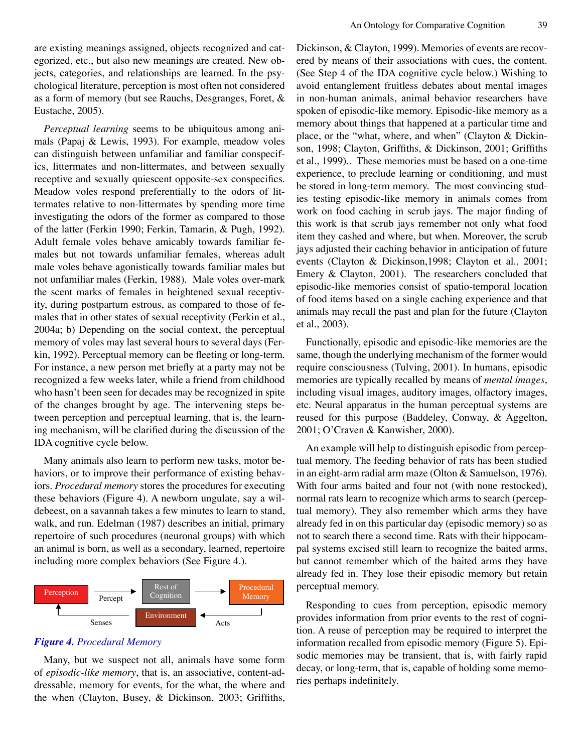are existing meanings assigned, objects recognized and categorized, etc., but also new meanings are created. New objects, categories, and relationships are learned. In the psychological literature, perception is most often not considered as a form of memory (but see Rauchs, Desgranges, Foret, & Eustache, 2005).

*Perceptual learning* seems to be ubiquitous among animals (Papaj & Lewis, 1993). For example, meadow voles can distinguish between unfamiliar and familiar conspecifics, littermates and non-littermates, and between sexually receptive and sexually quiescent opposite-sex conspecifics. Meadow voles respond preferentially to the odors of littermates relative to non-littermates by spending more time investigating the odors of the former as compared to those of the latter (Ferkin 1990; Ferkin, Tamarin, & Pugh, 1992). Adult female voles behave amicably towards familiar females but not towards unfamiliar females, whereas adult male voles behave agonistically towards familiar males but not unfamiliar males (Ferkin, 1988). Male voles over-mark the scent marks of females in heightened sexual receptivity, during postpartum estrous, as compared to those of females that in other states of sexual receptivity (Ferkin et al., 2004a; b) Depending on the social context, the perceptual memory of voles may last several hours to several days (Ferkin, 1992). Perceptual memory can be fleeting or long-term. For instance, a new person met briefly at a party may not be recognized a few weeks later, while a friend from childhood who hasn't been seen for decades may be recognized in spite of the changes brought by age. The intervening steps between perception and perceptual learning, that is, the learning mechanism, will be clarified during the discussion of the IDA cognitive cycle below.

Many animals also learn to perform new tasks, motor behaviors, or to improve their performance of existing behaviors. *Procedural memory* stores the procedures for executing these behaviors (Figure 4). A newborn ungulate, say a wildebeest, on a savannah takes a few minutes to learn to stand, walk, and run. Edelman (1987) describes an initial, primary repertoire of such procedures (neuronal groups) with which an animal is born, as well as a secondary, learned, repertoire including more complex behaviors (See Figure 4.).



## *Figure 4. Procedural Memory*

Many, but we suspect not all, animals have some form of *episodic-like memory*, that is, an associative, content-addressable, memory for events, for the what, the where and the when (Clayton, Busey, & Dickinson, 2003; Griffiths,

Dickinson, & Clayton, 1999). Memories of events are recovered by means of their associations with cues, the content. (See Step 4 of the IDA cognitive cycle below.) Wishing to avoid entanglement fruitless debates about mental images in non-human animals, animal behavior researchers have spoken of episodic-like memory. Episodic-like memory as a memory about things that happened at a particular time and place, or the "what, where, and when" (Clayton & Dickinson, 1998; Clayton, Griffiths, & Dickinson, 2001; Griffiths et al., 1999).. These memories must be based on a one-time experience, to preclude learning or conditioning, and must be stored in long-term memory. The most convincing studies testing episodic-like memory in animals comes from work on food caching in scrub jays. The major finding of this work is that scrub jays remember not only what food item they cashed and where, but when. Moreover, the scrub jays adjusted their caching behavior in anticipation of future events (Clayton & Dickinson,1998; Clayton et al., 2001; Emery & Clayton, 2001). The researchers concluded that episodic-like memories consist of spatio-temporal location of food items based on a single caching experience and that animals may recall the past and plan for the future (Clayton et al., 2003).

Functionally, episodic and episodic-like memories are the same, though the underlying mechanism of the former would require consciousness (Tulving, 2001). In humans, episodic memories are typically recalled by means of *mental images*, including visual images, auditory images, olfactory images, etc. Neural apparatus in the human perceptual systems are reused for this purpose (Baddeley, Conway, & Aggelton, 2001; O'Craven & Kanwisher, 2000).

An example will help to distinguish episodic from perceptual memory. The feeding behavior of rats has been studied in an eight-arm radial arm maze (Olton & Samuelson, 1976). With four arms baited and four not (with none restocked), normal rats learn to recognize which arms to search (perceptual memory). They also remember which arms they have already fed in on this particular day (episodic memory) so as not to search there a second time. Rats with their hippocampal systems excised still learn to recognize the baited arms, but cannot remember which of the baited arms they have already fed in. They lose their episodic memory but retain perceptual memory.

Responding to cues from perception, episodic memory provides information from prior events to the rest of cognition. A reuse of perception may be required to interpret the information recalled from episodic memory (Figure 5). Episodic memories may be transient, that is, with fairly rapid decay, or long-term, that is, capable of holding some memories perhaps indefinitely.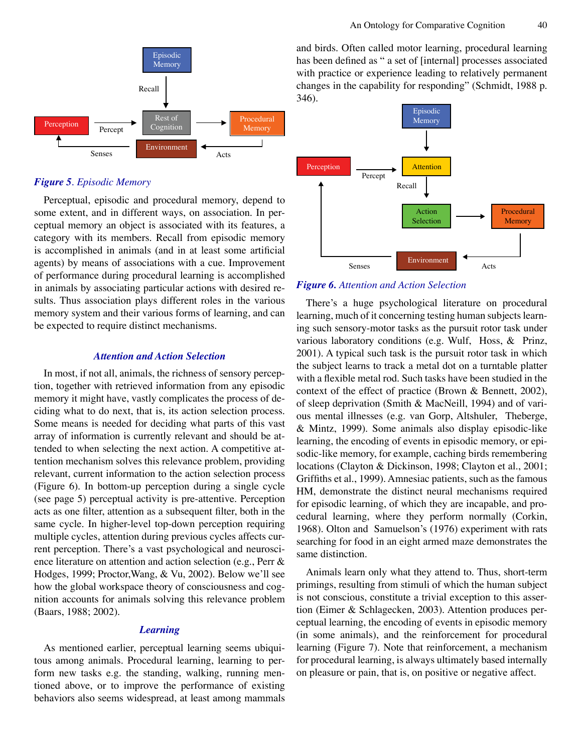

## *Figure 5. Episodic Memory*

Perceptual, episodic and procedural memory, depend to some extent, and in different ways, on association. In perceptual memory an object is associated with its features, a category with its members. Recall from episodic memory is accomplished in animals (and in at least some artificial agents) by means of associations with a cue. Improvement of performance during procedural learning is accomplished in animals by associating particular actions with desired results. Thus association plays different roles in the various memory system and their various forms of learning, and can be expected to require distinct mechanisms.

## *Attention and Action Selection*

In most, if not all, animals, the richness of sensory perception, together with retrieved information from any episodic memory it might have, vastly complicates the process of deciding what to do next, that is, its action selection process. Some means is needed for deciding what parts of this vast array of information is currently relevant and should be attended to when selecting the next action. A competitive attention mechanism solves this relevance problem, providing relevant, current information to the action selection process (Figure 6). In bottom-up perception during a single cycle (see page 5) perceptual activity is pre-attentive. Perception acts as one filter, attention as a subsequent filter, both in the same cycle. In higher-level top-down perception requiring multiple cycles, attention during previous cycles affects current perception. There's a vast psychological and neuroscience literature on attention and action selection (e.g., Perr & Hodges, 1999; Proctor,Wang, & Vu, 2002). Below we'll see how the global workspace theory of consciousness and cognition accounts for animals solving this relevance problem (Baars, 1988; 2002).

# *Learning*

As mentioned earlier, perceptual learning seems ubiquitous among animals. Procedural learning, learning to perform new tasks e.g. the standing, walking, running mentioned above, or to improve the performance of existing behaviors also seems widespread, at least among mammals and birds. Often called motor learning, procedural learning has been defined as " a set of [internal] processes associated with practice or experience leading to relatively permanent changes in the capability for responding" (Schmidt, 1988 p. 346).



*Figure 6. Attention and Action Selection*

There's a huge psychological literature on procedural learning, much of it concerning testing human subjects learning such sensory-motor tasks as the pursuit rotor task under various laboratory conditions (e.g. Wulf, Hoss, & Prinz, 2001). A typical such task is the pursuit rotor task in which the subject learns to track a metal dot on a turntable platter with a flexible metal rod. Such tasks have been studied in the context of the effect of practice (Brown & Bennett, 2002), of sleep deprivation (Smith & MacNeill, 1994) and of various mental illnesses (e.g. van Gorp, Altshuler, Theberge, & Mintz, 1999). Some animals also display episodic-like learning, the encoding of events in episodic memory, or episodic-like memory, for example, caching birds remembering locations (Clayton & Dickinson, 1998; Clayton et al., 2001; Griffiths et al., 1999). Amnesiac patients, such as the famous HM, demonstrate the distinct neural mechanisms required for episodic learning, of which they are incapable, and procedural learning, where they perform normally (Corkin, 1968). Olton and Samuelson's (1976) experiment with rats searching for food in an eight armed maze demonstrates the same distinction.

Animals learn only what they attend to. Thus, short-term primings, resulting from stimuli of which the human subject is not conscious, constitute a trivial exception to this assertion (Eimer & Schlagecken, 2003). Attention produces perceptual learning, the encoding of events in episodic memory (in some animals), and the reinforcement for procedural learning (Figure 7). Note that reinforcement, a mechanism for procedural learning, is always ultimately based internally on pleasure or pain, that is, on positive or negative affect.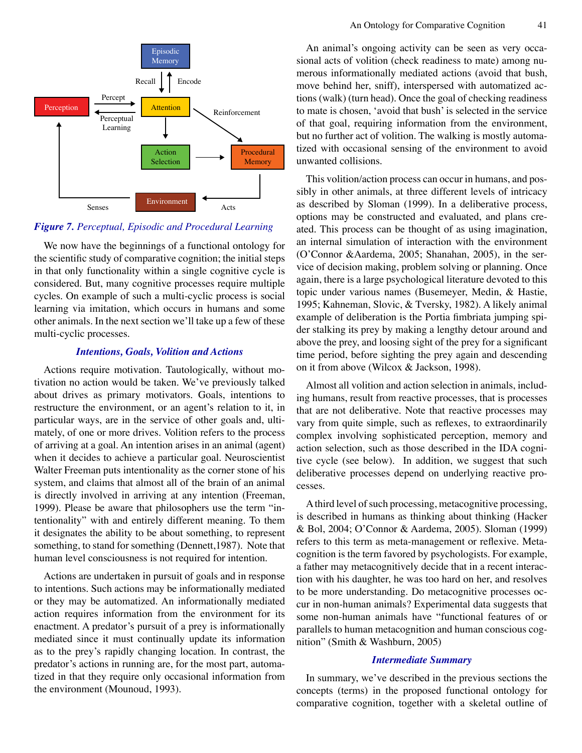

## *Figure 7. Perceptual, Episodic and Procedural Learning*

We now have the beginnings of a functional ontology for the scientific study of comparative cognition; the initial steps in that only functionality within a single cognitive cycle is considered. But, many cognitive processes require multiple cycles. On example of such a multi-cyclic process is social learning via imitation, which occurs in humans and some other animals. In the next section we'll take up a few of these multi-cyclic processes.

## *Intentions, Goals, Volition and Actions*

Actions require motivation. Tautologically, without motivation no action would be taken. We've previously talked about drives as primary motivators. Goals, intentions to restructure the environment, or an agent's relation to it, in particular ways, are in the service of other goals and, ultimately, of one or more drives. Volition refers to the process of arriving at a goal. An intention arises in an animal (agent) when it decides to achieve a particular goal. Neuroscientist Walter Freeman puts intentionality as the corner stone of his system, and claims that almost all of the brain of an animal is directly involved in arriving at any intention (Freeman, 1999). Please be aware that philosophers use the term "intentionality" with and entirely different meaning. To them it designates the ability to be about something, to represent something, to stand for something (Dennett,1987). Note that human level consciousness is not required for intention.

Actions are undertaken in pursuit of goals and in response to intentions. Such actions may be informationally mediated or they may be automatized. An informationally mediated action requires information from the environment for its enactment. A predator's pursuit of a prey is informationally mediated since it must continually update its information as to the prey's rapidly changing location. In contrast, the predator's actions in running are, for the most part, automatized in that they require only occasional information from the environment (Mounoud, 1993).

An animal's ongoing activity can be seen as very occasional acts of volition (check readiness to mate) among numerous informationally mediated actions (avoid that bush, move behind her, sniff), interspersed with automatized actions (walk) (turn head). Once the goal of checking readiness to mate is chosen, 'avoid that bush' is selected in the service of that goal, requiring information from the environment, but no further act of volition. The walking is mostly automatized with occasional sensing of the environment to avoid unwanted collisions.

This volition/action process can occur in humans, and possibly in other animals, at three different levels of intricacy as described by Sloman (1999). In a deliberative process, options may be constructed and evaluated, and plans created. This process can be thought of as using imagination, an internal simulation of interaction with the environment (O'Connor &Aardema, 2005; Shanahan, 2005), in the service of decision making, problem solving or planning. Once again, there is a large psychological literature devoted to this topic under various names (Busemeyer, Medin, & Hastie, 1995; Kahneman, Slovic, & Tversky, 1982). A likely animal example of deliberation is the Portia fimbriata jumping spider stalking its prey by making a lengthy detour around and above the prey, and loosing sight of the prey for a significant time period, before sighting the prey again and descending on it from above (Wilcox & Jackson, 1998).

Almost all volition and action selection in animals, including humans, result from reactive processes, that is processes that are not deliberative. Note that reactive processes may vary from quite simple, such as reflexes, to extraordinarily complex involving sophisticated perception, memory and action selection, such as those described in the IDA cognitive cycle (see below). In addition, we suggest that such deliberative processes depend on underlying reactive processes.

A third level of such processing, metacognitive processing, is described in humans as thinking about thinking (Hacker & Bol, 2004; O'Connor & Aardema, 2005). Sloman (1999) refers to this term as meta-management or reflexive. Metacognition is the term favored by psychologists. For example, a father may metacognitively decide that in a recent interaction with his daughter, he was too hard on her, and resolves to be more understanding. Do metacognitive processes occur in non-human animals? Experimental data suggests that some non-human animals have "functional features of or parallels to human metacognition and human conscious cognition" (Smith & Washburn, 2005)

#### *Intermediate Summary*

In summary, we've described in the previous sections the concepts (terms) in the proposed functional ontology for comparative cognition, together with a skeletal outline of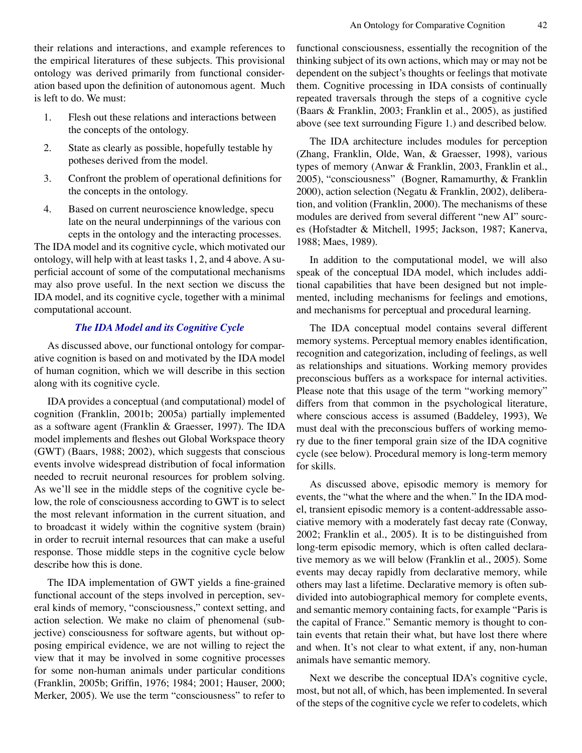their relations and interactions, and example references to the empirical literatures of these subjects. This provisional ontology was derived primarily from functional consideration based upon the definition of autonomous agent. Much is left to do. We must:

- 1. Flesh out these relations and interactions between the concepts of the ontology.
- 2. State as clearly as possible, hopefully testable hy potheses derived from the model.
- 3. Confront the problem of operational definitions for the concepts in the ontology.
- 4. Based on current neuroscience knowledge, specu late on the neural underpinnings of the various con cepts in the ontology and the interacting processes.

The IDA model and its cognitive cycle, which motivated our ontology, will help with at least tasks 1, 2, and 4 above. A superficial account of some of the computational mechanisms may also prove useful. In the next section we discuss the IDA model, and its cognitive cycle, together with a minimal computational account.

## *The IDA Model and its Cognitive Cycle*

As discussed above, our functional ontology for comparative cognition is based on and motivated by the IDA model of human cognition, which we will describe in this section along with its cognitive cycle.

IDA provides a conceptual (and computational) model of cognition (Franklin, 2001b; 2005a) partially implemented as a software agent (Franklin & Graesser, 1997). The IDA model implements and fleshes out Global Workspace theory (GWT) (Baars, 1988; 2002), which suggests that conscious events involve widespread distribution of focal information needed to recruit neuronal resources for problem solving. As we'll see in the middle steps of the cognitive cycle below, the role of consciousness according to GWT is to select the most relevant information in the current situation, and to broadcast it widely within the cognitive system (brain) in order to recruit internal resources that can make a useful response. Those middle steps in the cognitive cycle below describe how this is done.

The IDA implementation of GWT yields a fine-grained functional account of the steps involved in perception, several kinds of memory, "consciousness," context setting, and action selection. We make no claim of phenomenal (subjective) consciousness for software agents, but without opposing empirical evidence, we are not willing to reject the view that it may be involved in some cognitive processes for some non-human animals under particular conditions (Franklin, 2005b; Griffin, 1976; 1984; 2001; Hauser, 2000; Merker, 2005). We use the term "consciousness" to refer to functional consciousness, essentially the recognition of the thinking subject of its own actions, which may or may not be dependent on the subject's thoughts or feelings that motivate them. Cognitive processing in IDA consists of continually repeated traversals through the steps of a cognitive cycle (Baars & Franklin, 2003; Franklin et al., 2005), as justified above (see text surrounding Figure 1.) and described below.

The IDA architecture includes modules for perception (Zhang, Franklin, Olde, Wan, & Graesser, 1998), various types of memory (Anwar & Franklin, 2003, Franklin et al., 2005), "consciousness" (Bogner, Ramamurthy, & Franklin 2000), action selection (Negatu & Franklin, 2002), deliberation, and volition (Franklin, 2000). The mechanisms of these modules are derived from several different "new AI" sources (Hofstadter & Mitchell, 1995; Jackson, 1987; Kanerva, 1988; Maes, 1989).

In addition to the computational model, we will also speak of the conceptual IDA model, which includes additional capabilities that have been designed but not implemented, including mechanisms for feelings and emotions, and mechanisms for perceptual and procedural learning.

The IDA conceptual model contains several different memory systems. Perceptual memory enables identification, recognition and categorization, including of feelings, as well as relationships and situations. Working memory provides preconscious buffers as a workspace for internal activities. Please note that this usage of the term "working memory" differs from that common in the psychological literature, where conscious access is assumed (Baddeley, 1993), We must deal with the preconscious buffers of working memory due to the finer temporal grain size of the IDA cognitive cycle (see below). Procedural memory is long-term memory for skills.

As discussed above, episodic memory is memory for events, the "what the where and the when." In the IDA model, transient episodic memory is a content-addressable associative memory with a moderately fast decay rate (Conway, 2002; Franklin et al., 2005). It is to be distinguished from long-term episodic memory, which is often called declarative memory as we will below (Franklin et al., 2005). Some events may decay rapidly from declarative memory, while others may last a lifetime. Declarative memory is often subdivided into autobiographical memory for complete events, and semantic memory containing facts, for example "Paris is the capital of France." Semantic memory is thought to contain events that retain their what, but have lost there where and when. It's not clear to what extent, if any, non-human animals have semantic memory.

Next we describe the conceptual IDA's cognitive cycle, most, but not all, of which, has been implemented. In several of the steps of the cognitive cycle we refer to codelets, which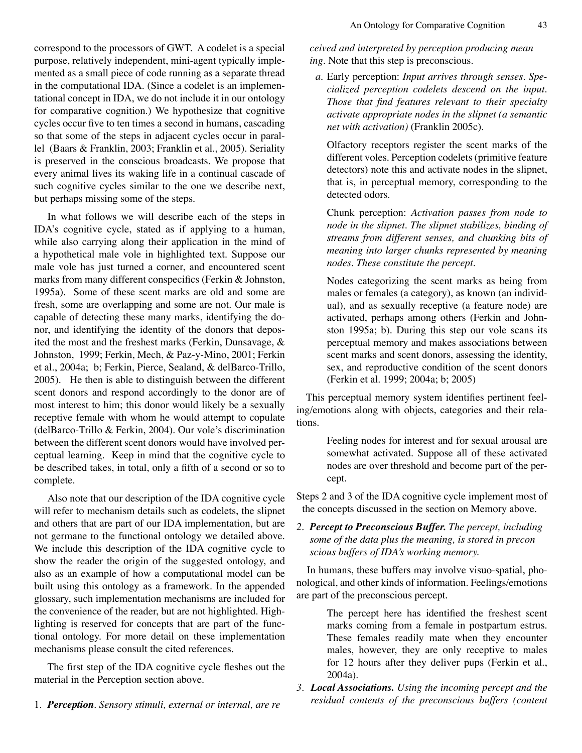correspond to the processors of GWT. A codelet is a special purpose, relatively independent, mini-agent typically implemented as a small piece of code running as a separate thread in the computational IDA. (Since a codelet is an implementational concept in IDA, we do not include it in our ontology for comparative cognition.) We hypothesize that cognitive cycles occur five to ten times a second in humans, cascading so that some of the steps in adjacent cycles occur in parallel (Baars & Franklin, 2003; Franklin et al., 2005). Seriality is preserved in the conscious broadcasts. We propose that every animal lives its waking life in a continual cascade of such cognitive cycles similar to the one we describe next, but perhaps missing some of the steps.

In what follows we will describe each of the steps in IDA's cognitive cycle, stated as if applying to a human, while also carrying along their application in the mind of a hypothetical male vole in highlighted text. Suppose our male vole has just turned a corner, and encountered scent marks from many different conspecifics (Ferkin & Johnston, 1995a). Some of these scent marks are old and some are fresh, some are overlapping and some are not. Our male is capable of detecting these many marks, identifying the donor, and identifying the identity of the donors that deposited the most and the freshest marks (Ferkin, Dunsavage, & Johnston, 1999; Ferkin, Mech, & Paz-y-Mino, 2001; Ferkin et al., 2004a; b; Ferkin, Pierce, Sealand, & delBarco-Trillo, 2005). He then is able to distinguish between the different scent donors and respond accordingly to the donor are of most interest to him; this donor would likely be a sexually receptive female with whom he would attempt to copulate (delBarco-Trillo & Ferkin, 2004). Our vole's discrimination between the different scent donors would have involved perceptual learning. Keep in mind that the cognitive cycle to be described takes, in total, only a fifth of a second or so to complete.

Also note that our description of the IDA cognitive cycle will refer to mechanism details such as codelets, the slipnet and others that are part of our IDA implementation, but are not germane to the functional ontology we detailed above. We include this description of the IDA cognitive cycle to show the reader the origin of the suggested ontology, and also as an example of how a computational model can be built using this ontology as a framework. In the appended glossary, such implementation mechanisms are included for the convenience of the reader, but are not highlighted. Highlighting is reserved for concepts that are part of the functional ontology. For more detail on these implementation mechanisms please consult the cited references.

The first step of the IDA cognitive cycle fleshes out the material in the Perception section above.

1. *Perception*. *Sensory stimuli, external or internal, are re*

*ceived and interpreted by perception producing mean ing.* Note that this step is preconscious.

*a.* Early perception: *Input arrives through senses. Specialized perception codelets descend on the input. Those that find features relevant to their specialty activate appropriate nodes in the slipnet (a semantic net with activation)* (Franklin 2005c).

Olfactory receptors register the scent marks of the different voles. Perception codelets (primitive feature detectors) note this and activate nodes in the slipnet, that is, in perceptual memory, corresponding to the detected odors.

Chunk perception: *Activation passes from node to node in the slipnet. The slipnet stabilizes, binding of streams from different senses, and chunking bits of meaning into larger chunks represented by meaning nodes. These constitute the percept.*

Nodes categorizing the scent marks as being from males or females (a category), as known (an individual), and as sexually receptive (a feature node) are activated, perhaps among others (Ferkin and Johnston 1995a; b). During this step our vole scans its perceptual memory and makes associations between scent marks and scent donors, assessing the identity, sex, and reproductive condition of the scent donors (Ferkin et al. 1999; 2004a; b; 2005)

This perceptual memory system identifies pertinent feeling/emotions along with objects, categories and their relations.

> Feeling nodes for interest and for sexual arousal are somewhat activated. Suppose all of these activated nodes are over threshold and become part of the percept.

Steps 2 and 3 of the IDA cognitive cycle implement most of the concepts discussed in the section on Memory above.

*2. Percept to Preconscious Buffer. The percept, including some of the data plus the meaning, is stored in precon scious buffers of IDA's working memory.*

In humans, these buffers may involve visuo-spatial, phonological, and other kinds of information. Feelings/emotions are part of the preconscious percept.

> The percept here has identified the freshest scent marks coming from a female in postpartum estrus. These females readily mate when they encounter males, however, they are only receptive to males for 12 hours after they deliver pups (Ferkin et al., 2004a).

*3. Local Associations. Using the incoming percept and the residual contents of the preconscious buffers (content*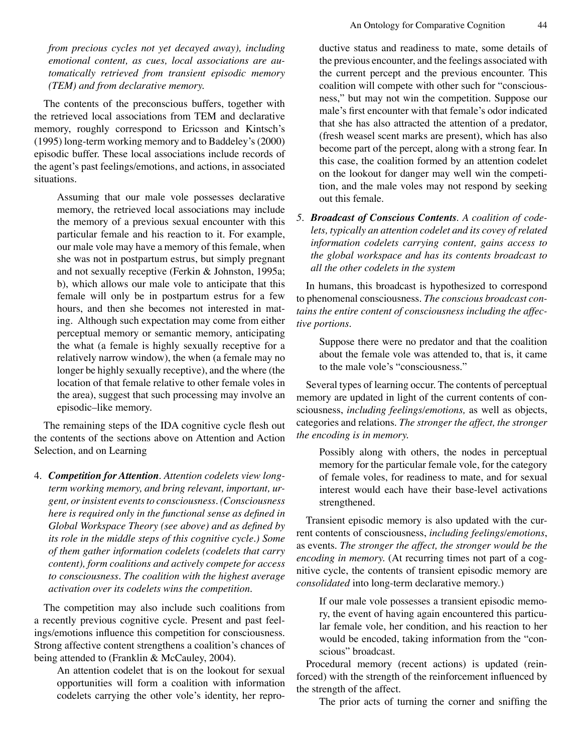*from precious cycles not yet decayed away), including emotional content, as cues, local associations are automatically retrieved from transient episodic memory (TEM) and from declarative memory.* 

The contents of the preconscious buffers, together with the retrieved local associations from TEM and declarative memory, roughly correspond to Ericsson and Kintsch's (1995) long-term working memory and to Baddeley's (2000) episodic buffer. These local associations include records of the agent's past feelings/emotions, and actions, in associated situations.

Assuming that our male vole possesses declarative memory, the retrieved local associations may include the memory of a previous sexual encounter with this particular female and his reaction to it. For example, our male vole may have a memory of this female, when she was not in postpartum estrus, but simply pregnant and not sexually receptive (Ferkin & Johnston, 1995a; b), which allows our male vole to anticipate that this female will only be in postpartum estrus for a few hours, and then she becomes not interested in mating. Although such expectation may come from either perceptual memory or semantic memory, anticipating the what (a female is highly sexually receptive for a relatively narrow window), the when (a female may no longer be highly sexually receptive), and the where (the location of that female relative to other female voles in the area), suggest that such processing may involve an episodic–like memory.

The remaining steps of the IDA cognitive cycle flesh out the contents of the sections above on Attention and Action Selection, and on Learning

4. *Competition for Attention. Attention codelets view longterm working memory, and bring relevant, important, urgent, or insistent events to consciousness. (Consciousness here is required only in the functional sense as defined in Global Workspace Theory (see above) and as defined by its role in the middle steps of this cognitive cycle.) Some of them gather information codelets (codelets that carry content), form coalitions and actively compete for access to consciousness. The coalition with the highest average activation over its codelets wins the competition.*

The competition may also include such coalitions from a recently previous cognitive cycle. Present and past feelings/emotions influence this competition for consciousness. Strong affective content strengthens a coalition's chances of being attended to (Franklin & McCauley, 2004).

An attention codelet that is on the lookout for sexual opportunities will form a coalition with information codelets carrying the other vole's identity, her reproductive status and readiness to mate, some details of the previous encounter, and the feelings associated with the current percept and the previous encounter. This coalition will compete with other such for "consciousness," but may not win the competition. Suppose our male's first encounter with that female's odor indicated that she has also attracted the attention of a predator, (fresh weasel scent marks are present), which has also become part of the percept, along with a strong fear. In this case, the coalition formed by an attention codelet on the lookout for danger may well win the competition, and the male voles may not respond by seeking out this female.

*5. Broadcast of Conscious Contents. A coalition of codelets, typically an attention codelet and its covey of related information codelets carrying content, gains access to the global workspace and has its contents broadcast to all the other codelets in the system* 

In humans, this broadcast is hypothesized to correspond to phenomenal consciousness. *The conscious broadcast contains the entire content of consciousness including the affective portions.*

Suppose there were no predator and that the coalition about the female vole was attended to, that is, it came to the male vole's "consciousness."

Several types of learning occur. The contents of perceptual memory are updated in light of the current contents of consciousness, *including feelings/emotions,* as well as objects, categories and relations. *The stronger the affect, the stronger the encoding is in memory.*

Possibly along with others, the nodes in perceptual memory for the particular female vole, for the category of female voles, for readiness to mate, and for sexual interest would each have their base-level activations strengthened.

Transient episodic memory is also updated with the current contents of consciousness, *including feelings/emotions*, as events. *The stronger the affect, the stronger would be the encoding in memory.* (At recurring times not part of a cognitive cycle, the contents of transient episodic memory are *consolidated* into long-term declarative memory.)

If our male vole possesses a transient episodic memory, the event of having again encountered this particular female vole, her condition, and his reaction to her would be encoded, taking information from the "conscious" broadcast.

Procedural memory (recent actions) is updated (reinforced) with the strength of the reinforcement influenced by the strength of the affect.

The prior acts of turning the corner and sniffing the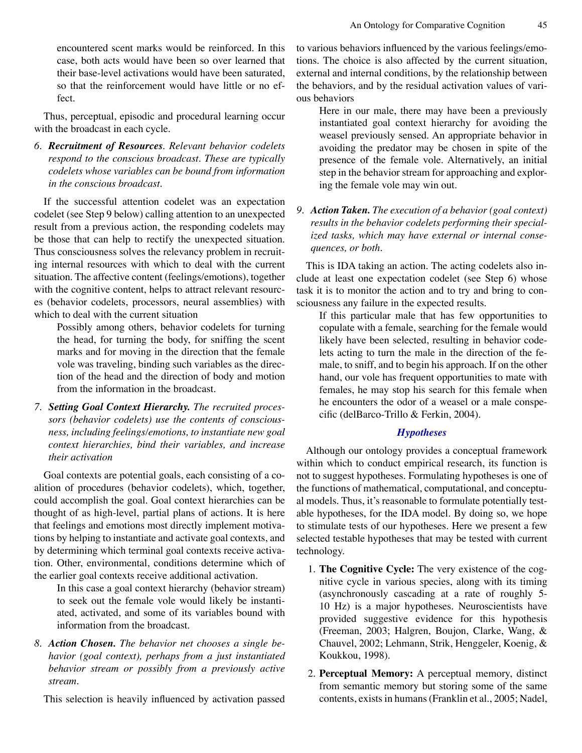encountered scent marks would be reinforced. In this case, both acts would have been so over learned that their base-level activations would have been saturated, so that the reinforcement would have little or no effect.

Thus, perceptual, episodic and procedural learning occur with the broadcast in each cycle.

*6. Recruitment of Resources. Relevant behavior codelets respond to the conscious broadcast. These are typically codelets whose variables can be bound from information in the conscious broadcast.* 

If the successful attention codelet was an expectation codelet (see Step 9 below) calling attention to an unexpected result from a previous action, the responding codelets may be those that can help to rectify the unexpected situation. Thus consciousness solves the relevancy problem in recruiting internal resources with which to deal with the current situation. The affective content (feelings/emotions), together with the cognitive content, helps to attract relevant resources (behavior codelets, processors, neural assemblies) with which to deal with the current situation

Possibly among others, behavior codelets for turning the head, for turning the body, for sniffing the scent marks and for moving in the direction that the female vole was traveling, binding such variables as the direction of the head and the direction of body and motion from the information in the broadcast.

*7. Setting Goal Context Hierarchy. The recruited processors (behavior codelets) use the contents of consciousness, including feelings/emotions, to instantiate new goal context hierarchies, bind their variables, and increase their activation* 

Goal contexts are potential goals, each consisting of a coalition of procedures (behavior codelets), which, together, could accomplish the goal. Goal context hierarchies can be thought of as high-level, partial plans of actions. It is here that feelings and emotions most directly implement motivations by helping to instantiate and activate goal contexts, and by determining which terminal goal contexts receive activation. Other, environmental, conditions determine which of the earlier goal contexts receive additional activation.

In this case a goal context hierarchy (behavior stream) to seek out the female vole would likely be instantiated, activated, and some of its variables bound with information from the broadcast.

*8. Action Chosen. The behavior net chooses a single behavior (goal context), perhaps from a just instantiated behavior stream or possibly from a previously active stream.* 

This selection is heavily influenced by activation passed

to various behaviors influenced by the various feelings/emotions. The choice is also affected by the current situation, external and internal conditions, by the relationship between the behaviors, and by the residual activation values of various behaviors

Here in our male, there may have been a previously instantiated goal context hierarchy for avoiding the weasel previously sensed. An appropriate behavior in avoiding the predator may be chosen in spite of the presence of the female vole. Alternatively, an initial step in the behavior stream for approaching and exploring the female vole may win out.

*9. Action Taken. The execution of a behavior (goal context) results in the behavior codelets performing their specialized tasks, which may have external or internal consequences, or both.* 

This is IDA taking an action. The acting codelets also include at least one expectation codelet (see Step 6) whose task it is to monitor the action and to try and bring to consciousness any failure in the expected results.

If this particular male that has few opportunities to copulate with a female, searching for the female would likely have been selected, resulting in behavior codelets acting to turn the male in the direction of the female, to sniff, and to begin his approach. If on the other hand, our vole has frequent opportunities to mate with females, he may stop his search for this female when he encounters the odor of a weasel or a male conspecific (delBarco-Trillo & Ferkin, 2004).

## *Hypotheses*

Although our ontology provides a conceptual framework within which to conduct empirical research, its function is not to suggest hypotheses. Formulating hypotheses is one of the functions of mathematical, computational, and conceptual models. Thus, it's reasonable to formulate potentially testable hypotheses, for the IDA model. By doing so, we hope to stimulate tests of our hypotheses. Here we present a few selected testable hypotheses that may be tested with current technology.

- 1. **The Cognitive Cycle:** The very existence of the cognitive cycle in various species, along with its timing (asynchronously cascading at a rate of roughly 5- 10 Hz) is a major hypotheses. Neuroscientists have provided suggestive evidence for this hypothesis (Freeman, 2003; Halgren, Boujon, Clarke, Wang, & Chauvel, 2002; Lehmann, Strik, Henggeler, Koenig, & Koukkou, 1998).
- 2. **Perceptual Memory:** A perceptual memory, distinct from semantic memory but storing some of the same contents, exists in humans (Franklin et al., 2005; Nadel,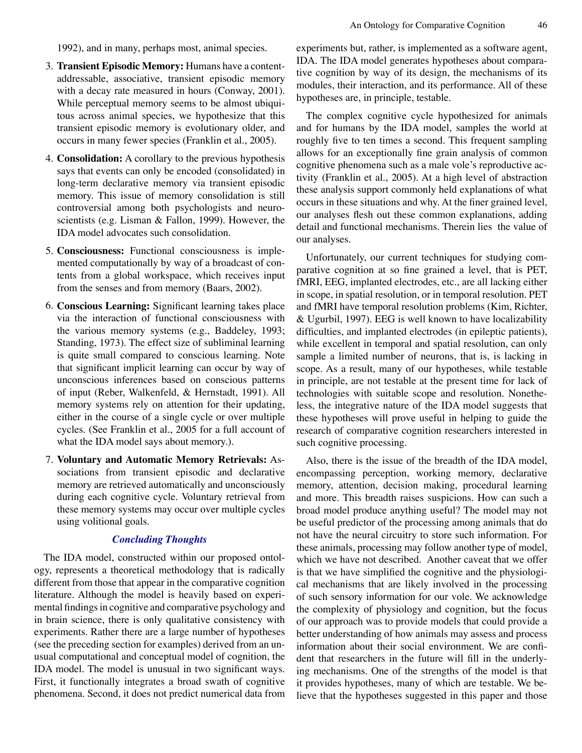1992), and in many, perhaps most, animal species.

- 3. **Transient Episodic Memory:** Humans have a contentaddressable, associative, transient episodic memory with a decay rate measured in hours (Conway, 2001). While perceptual memory seems to be almost ubiquitous across animal species, we hypothesize that this transient episodic memory is evolutionary older, and occurs in many fewer species (Franklin et al., 2005).
- 4. **Consolidation:** A corollary to the previous hypothesis says that events can only be encoded (consolidated) in long-term declarative memory via transient episodic memory. This issue of memory consolidation is still controversial among both psychologists and neuroscientists (e.g. Lisman & Fallon, 1999). However, the IDA model advocates such consolidation.
- 5. **Consciousness:** Functional consciousness is implemented computationally by way of a broadcast of contents from a global workspace, which receives input from the senses and from memory (Baars, 2002).
- 6. **Conscious Learning:** Significant learning takes place via the interaction of functional consciousness with the various memory systems (e.g., Baddeley, 1993; Standing, 1973). The effect size of subliminal learning is quite small compared to conscious learning. Note that significant implicit learning can occur by way of unconscious inferences based on conscious patterns of input (Reber, Walkenfeld, & Hernstadt, 1991). All memory systems rely on attention for their updating, either in the course of a single cycle or over multiple cycles. (See Franklin et al., 2005 for a full account of what the IDA model says about memory.).
- 7. **Voluntary and Automatic Memory Retrievals:** Associations from transient episodic and declarative memory are retrieved automatically and unconsciously during each cognitive cycle. Voluntary retrieval from these memory systems may occur over multiple cycles using volitional goals.

## *Concluding Thoughts*

The IDA model, constructed within our proposed ontology, represents a theoretical methodology that is radically different from those that appear in the comparative cognition literature. Although the model is heavily based on experimental findings in cognitive and comparative psychology and in brain science, there is only qualitative consistency with experiments. Rather there are a large number of hypotheses (see the preceding section for examples) derived from an unusual computational and conceptual model of cognition, the IDA model. The model is unusual in two significant ways. First, it functionally integrates a broad swath of cognitive phenomena. Second, it does not predict numerical data from experiments but, rather, is implemented as a software agent, IDA. The IDA model generates hypotheses about comparative cognition by way of its design, the mechanisms of its modules, their interaction, and its performance. All of these hypotheses are, in principle, testable.

The complex cognitive cycle hypothesized for animals and for humans by the IDA model, samples the world at roughly five to ten times a second. This frequent sampling allows for an exceptionally fine grain analysis of common cognitive phenomena such as a male vole's reproductive activity (Franklin et al., 2005). At a high level of abstraction these analysis support commonly held explanations of what occurs in these situations and why. At the finer grained level, our analyses flesh out these common explanations, adding detail and functional mechanisms. Therein lies the value of our analyses.

Unfortunately, our current techniques for studying comparative cognition at so fine grained a level, that is PET, fMRI, EEG, implanted electrodes, etc., are all lacking either in scope, in spatial resolution, or in temporal resolution. PET and fMRI have temporal resolution problems (Kim, Richter, & Ugurbil, 1997). EEG is well known to have localizability difficulties, and implanted electrodes (in epileptic patients), while excellent in temporal and spatial resolution, can only sample a limited number of neurons, that is, is lacking in scope. As a result, many of our hypotheses, while testable in principle, are not testable at the present time for lack of technologies with suitable scope and resolution. Nonetheless, the integrative nature of the IDA model suggests that these hypotheses will prove useful in helping to guide the research of comparative cognition researchers interested in such cognitive processing.

Also, there is the issue of the breadth of the IDA model, encompassing perception, working memory, declarative memory, attention, decision making, procedural learning and more. This breadth raises suspicions. How can such a broad model produce anything useful? The model may not be useful predictor of the processing among animals that do not have the neural circuitry to store such information. For these animals, processing may follow another type of model, which we have not described. Another caveat that we offer is that we have simplified the cognitive and the physiological mechanisms that are likely involved in the processing of such sensory information for our vole. We acknowledge the complexity of physiology and cognition, but the focus of our approach was to provide models that could provide a better understanding of how animals may assess and process information about their social environment. We are confident that researchers in the future will fill in the underlying mechanisms. One of the strengths of the model is that it provides hypotheses, many of which are testable. We believe that the hypotheses suggested in this paper and those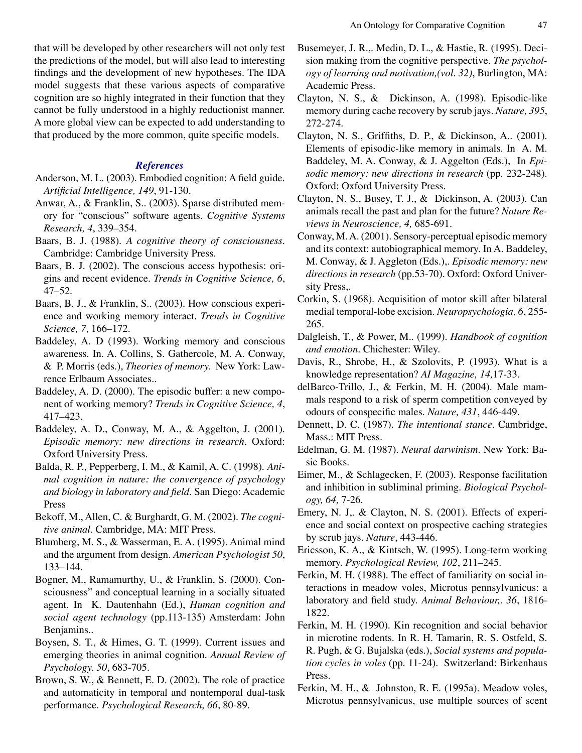that will be developed by other researchers will not only test the predictions of the model, but will also lead to interesting findings and the development of new hypotheses. The IDA model suggests that these various aspects of comparative cognition are so highly integrated in their function that they cannot be fully understood in a highly reductionist manner. A more global view can be expected to add understanding to that produced by the more common, quite specific models.

## *References*

- Anderson, M. L. (2003). Embodied cognition: A field guide. *Artificial Intelligence, 149*, 91-130.
- Anwar, A., & Franklin, S.. (2003). Sparse distributed memory for "conscious" software agents. *Cognitive Systems Research, 4*, 339–354.
- Baars, B. J. (1988). *A cognitive theory of consciousness.* Cambridge: Cambridge University Press.
- Baars, B. J. (2002). The conscious access hypothesis: origins and recent evidence. *Trends in Cognitive Science, 6*, 47–52.
- Baars, B. J., & Franklin, S.. (2003). How conscious experience and working memory interact. *Trends in Cognitive Science, 7*, 166–172.
- Baddeley, A. D (1993). Working memory and conscious awareness. In. A. Collins, S. Gathercole, M. A. Conway, & P. Morris (eds.), *Theories of memory.* New York: Lawrence Erlbaum Associates..
- Baddeley, A. D. (2000). The episodic buffer: a new component of working memory? *Trends in Cognitive Science, 4*, 417–423.
- Baddeley, A. D., Conway, M. A., & Aggelton, J. (2001). *Episodic memory: new directions in research*. Oxford: Oxford University Press.
- Balda, R. P., Pepperberg, I. M., & Kamil, A. C. (1998). *Animal cognition in nature: the convergence of psychology and biology in laboratory and field.* San Diego: Academic Press
- Bekoff, M., Allen, C. & Burghardt, G. M. (2002). *The cognitive animal.* Cambridge, MA: MIT Press.
- Blumberg, M. S., & Wasserman, E. A. (1995). Animal mind and the argument from design. *American Psychologist 50*, 133–144.
- Bogner, M., Ramamurthy, U., & Franklin, S. (2000). Consciousness" and conceptual learning in a socially situated agent. In K. Dautenhahn (Ed.), *Human cognition and social agent technology* (pp.113-135) Amsterdam: John Benjamins..
- Boysen, S. T., & Himes, G. T. (1999). Current issues and emerging theories in animal cognition. *Annual Review of Psychology. 50*, 683-705.
- Brown, S. W., & Bennett, E. D. (2002). The role of practice and automaticity in temporal and nontemporal dual-task performance. *Psychological Research, 66*, 80-89.
- Busemeyer, J. R.,. Medin, D. L., & Hastie, R. (1995). Decision making from the cognitive perspective. *The psychology of learning and motivation,(vol. 32)*, Burlington, MA: Academic Press.
- Clayton, N. S., & Dickinson, A. (1998). Episodic-like memory during cache recovery by scrub jays. *Nature, 395*, 272-274.
- Clayton, N. S., Griffiths, D. P., & Dickinson, A.. (2001). Elements of episodic-like memory in animals. In A. M. Baddeley, M. A. Conway, & J. Aggelton (Eds.), In *Episodic memory: new directions in research* (pp. 232-248). Oxford: Oxford University Press.
- Clayton, N. S., Busey, T. J., & Dickinson, A. (2003). Can animals recall the past and plan for the future? *Nature Reviews in Neuroscience, 4,* 685-691.
- Conway, M. A. (2001). Sensory-perceptual episodic memory and its context: autobiographical memory. In A. Baddeley, M. Conway, & J. Aggleton (Eds.),. *Episodic memory: new directions in research* (pp.53-70). Oxford: Oxford University Press,.
- Corkin, S. (1968). Acquisition of motor skill after bilateral medial temporal-lobe excision. *Neuropsychologia, 6*, 255- 265.
- Dalgleish, T., & Power, M.. (1999). *Handbook of cognition and emotion*. Chichester: Wiley.
- Davis, R., Shrobe, H., & Szolovits, P. (1993). What is a knowledge representation? *AI Magazine, 14,*17-33.
- delBarco-Trillo, J., & Ferkin, M. H. (2004). Male mammals respond to a risk of sperm competition conveyed by odours of conspecific males. *Nature, 431*, 446-449.
- Dennett, D. C. (1987). *The intentional stance.* Cambridge, Mass.: MIT Press.
- Edelman, G. M. (1987). *Neural darwinism*. New York: Basic Books.
- Eimer, M., & Schlagecken, F. (2003). Response facilitation and inhibition in subliminal priming. *Biological Psychology, 64,* 7-26.
- Emery, N. J,. & Clayton, N. S. (2001). Effects of experience and social context on prospective caching strategies by scrub jays. *Nature*, 443-446.
- Ericsson, K. A., & Kintsch, W. (1995). Long-term working memory. *Psychological Review, 102*, 211–245.
- Ferkin, M. H. (1988). The effect of familiarity on social interactions in meadow voles, Microtus pennsylvanicus: a laboratory and field study. *Animal Behaviour,. 36*, 1816- 1822.
- Ferkin, M. H. (1990). Kin recognition and social behavior in microtine rodents. In R. H. Tamarin, R. S. Ostfeld, S. R. Pugh, & G. Bujalska (eds.), *Social systems and population cycles in voles* (pp. 11-24). Switzerland: Birkenhaus Press.
- Ferkin, M. H., & Johnston, R. E. (1995a). Meadow voles, Microtus pennsylvanicus, use multiple sources of scent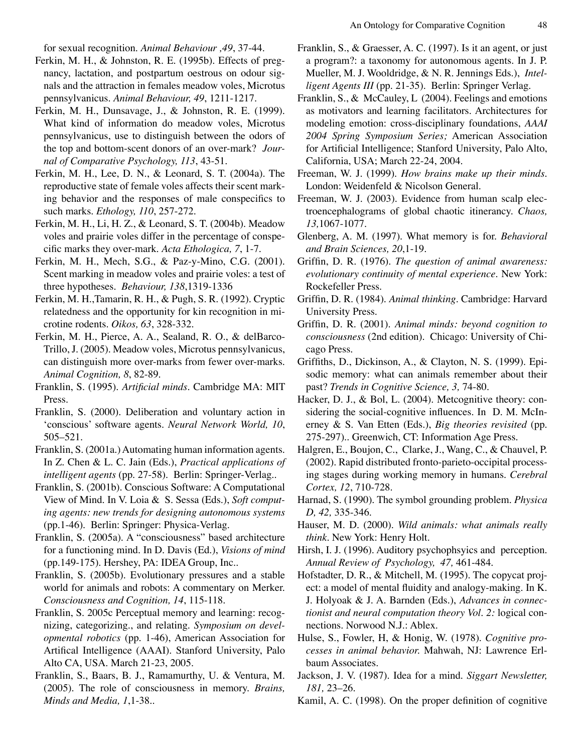for sexual recognition. *Animal Behaviour ,49*, 37-44.

- Ferkin, M. H., & Johnston, R. E. (1995b). Effects of pregnancy, lactation, and postpartum oestrous on odour signals and the attraction in females meadow voles, Microtus pennsylvanicus. *Animal Behaviour, 49*, 1211-1217.
- Ferkin, M. H., Dunsavage, J., & Johnston, R. E. (1999). What kind of information do meadow voles, Microtus pennsylvanicus, use to distinguish between the odors of the top and bottom-scent donors of an over-mark? *Journal of Comparative Psychology, 113*, 43-51.
- Ferkin, M. H., Lee, D. N., & Leonard, S. T. (2004a). The reproductive state of female voles affects their scent marking behavior and the responses of male conspecifics to such marks. *Ethology, 110*, 257-272.
- Ferkin, M. H., Li, H. Z., & Leonard, S. T. (2004b). Meadow voles and prairie voles differ in the percentage of conspecific marks they over-mark. *Acta Ethologica, 7*, 1-7.
- Ferkin, M. H., Mech, S.G., & Paz-y-Mino, C.G. (2001). Scent marking in meadow voles and prairie voles: a test of three hypotheses. *Behaviour, 138*,1319-1336
- Ferkin, M. H.,Tamarin, R. H., & Pugh, S. R. (1992). Cryptic relatedness and the opportunity for kin recognition in microtine rodents. *Oikos, 63*, 328-332.
- Ferkin, M. H., Pierce, A. A., Sealand, R. O., & delBarco-Trillo, J. (2005). Meadow voles, Microtus pennsylvanicus, can distinguish more over-marks from fewer over-marks. *Animal Cognition, 8*, 82-89.
- Franklin, S. (1995). *Artificial minds.* Cambridge MA: MIT Press.
- Franklin, S. (2000). Deliberation and voluntary action in 'conscious' software agents. *Neural Network World, 10*, 505–521.
- Franklin, S. (2001a.) Automating human information agents. In Z. Chen & L. C. Jain (Eds.), *Practical applications of intelligent agents* (pp. 27-58). Berlin: Springer-Verlag..
- Franklin, S. (2001b). Conscious Software: A Computational View of Mind. In V. Loia & S. Sessa (Eds.), *Soft computing agents: new trends for designing autonomous systems* (pp.1-46). Berlin: Springer: Physica-Verlag.
- Franklin, S. (2005a). A "consciousness" based architecture for a functioning mind. In D. Davis (Ed.), *Visions of mind*  (pp.149-175). Hershey, PA: IDEA Group, Inc..
- Franklin, S. (2005b). Evolutionary pressures and a stable world for animals and robots: A commentary on Merker. *Consciousness and Cognition, 14*, 115-118.
- Franklin, S. 2005c Perceptual memory and learning: recognizing, categorizing., and relating. *Symposium on developmental robotics* (pp. 1-46), American Association for Artifical Intelligence (AAAI). Stanford University, Palo Alto CA, USA. March 21-23, 2005.
- Franklin, S., Baars, B. J., Ramamurthy, U. & Ventura, M. (2005). The role of consciousness in memory. *Brains, Minds and Media, 1*,1-38..
- Franklin, S., & Graesser, A. C. (1997). Is it an agent, or just a program?: a taxonomy for autonomous agents. In J. P. Mueller, M. J. Wooldridge, & N. R. Jennings Eds.), *Intelligent Agents III* (pp. 21-35). Berlin: Springer Verlag.
- Franklin, S., & McCauley, L (2004). Feelings and emotions as motivators and learning facilitators. Architectures for modeling emotion: cross-disciplinary foundations, *AAAI 2004 Spring Symposium Series;* American Association for Artificial Intelligence; Stanford University, Palo Alto, California, USA; March 22-24, 2004.
- Freeman, W. J. (1999). *How brains make up their minds.* London: Weidenfeld & Nicolson General.
- Freeman, W. J. (2003). Evidence from human scalp electroencephalograms of global chaotic itinerancy. *Chaos, 13,*1067-1077.
- Glenberg, A. M. (1997). What memory is for. *Behavioral and Brain Sciences, 20*,1-19.
- Griffin, D. R. (1976). *The question of animal awareness: evolutionary continuity of mental experience*. New York: Rockefeller Press.
- Griffin, D. R. (1984). *Animal thinking.* Cambridge: Harvard University Press.
- Griffin, D. R. (2001). *Animal minds: beyond cognition to consciousness* (2nd edition). Chicago: University of Chicago Press.
- Griffiths, D., Dickinson, A., & Clayton, N. S. (1999). Episodic memory: what can animals remember about their past? *Trends in Cognitive Science, 3,* 74-80.
- Hacker, D. J., & Bol, L. (2004). Metcognitive theory: considering the social-cognitive influences. In D. M. McInerney & S. Van Etten (Eds.), *Big theories revisited* (pp. 275-297).. Greenwich, CT: Information Age Press.
- Halgren, E., Boujon, C., Clarke, J., Wang, C., & Chauvel, P. (2002). Rapid distributed fronto-parieto-occipital processing stages during working memory in humans. *Cerebral Cortex, 12*, 710-728.
- Harnad, S. (1990). The symbol grounding problem. *Physica D, 42,* 335-346.
- Hauser, M. D. (2000). *Wild animals: what animals really think.* New York: Henry Holt.
- Hirsh, I. J. (1996). Auditory psychophsyics and perception. *Annual Review of Psychology, 47,* 461-484.
- Hofstadter, D. R., & Mitchell, M. (1995). The copycat project: a model of mental fluidity and analogy-making. In K. J. Holyoak & J. A. Barnden (Eds.), *Advances in connectionist and neural computation theory Vol. 2:* logical connections. Norwood N.J.: Ablex.
- Hulse, S., Fowler, H, & Honig, W. (1978). *Cognitive processes in animal behavior.* Mahwah, NJ: Lawrence Erlbaum Associates.
- Jackson, J. V. (1987). Idea for a mind. *Siggart Newsletter, 181,* 23–26.
- Kamil, A. C. (1998). On the proper definition of cognitive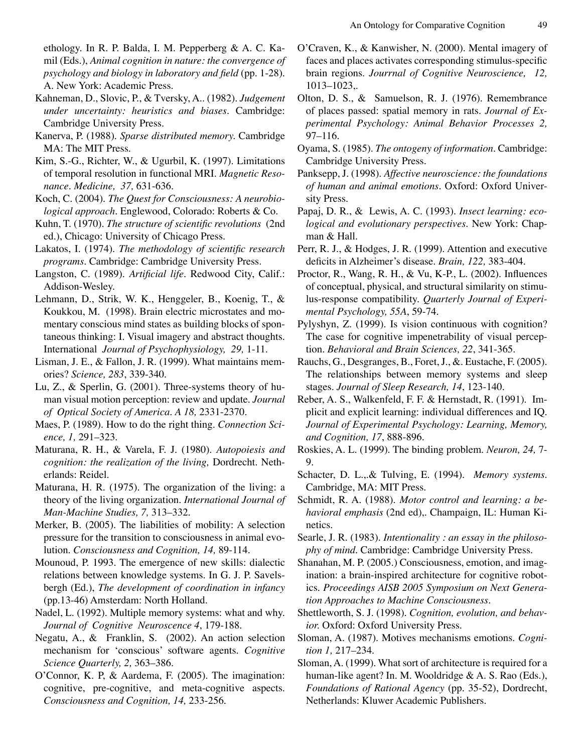ethology. In R. P. Balda, I. M. Pepperberg & A. C. Kamil (Eds.), *Animal cognition in nature: the convergence of psychology and biology in laboratory and field* (pp. 1-28). A. New York: Academic Press.

- Kahneman, D., Slovic, P., & Tversky, A.. (1982). *Judgement under uncertainty: heuristics and biases.* Cambridge: Cambridge University Press.
- Kanerva, P. (1988). *Sparse distributed memory.* Cambridge MA: The MIT Press.

Kim, S.-G., Richter, W., & Ugurbil, K. (1997). Limitations of temporal resolution in functional MRI. *Magnetic Resonance. Medicine, 37,* 631-636.

- Koch, C. (2004). *The Quest for Consciousness: A neurobiological approach.* Englewood, Colorado: Roberts & Co.
- Kuhn, T. (1970). *The structure of scientific revolutions* (2nd ed.), Chicago: University of Chicago Press.
- Lakatos, I. (1974). *The methodology of scientific research programs.* Cambridge: Cambridge University Press.
- Langston, C. (1989). *Artificial life.* Redwood City, Calif.: Addison-Wesley.
- Lehmann, D., Strik, W. K., Henggeler, B., Koenig, T., & Koukkou, M. (1998). Brain electric microstates and momentary conscious mind states as building blocks of spontaneous thinking: I. Visual imagery and abstract thoughts. International *Journal of Psychophysiology, 29,* 1-11.
- Lisman, J. E., & Fallon, J. R. (1999). What maintains memories? *Science, 283*, 339-340.
- Lu, Z., & Sperlin, G. (2001). Three-systems theory of human visual motion perception: review and update. *Journal of Optical Society of America. A 18,* 2331-2370.
- Maes, P. (1989). How to do the right thing. *Connection Science, 1,* 291–323.
- Maturana, R. H., & Varela, F. J. (1980). *Autopoiesis and cognition: the realization of the living,* Dordrecht. Netherlands: Reidel.
- Maturana, H. R. (1975). The organization of the living: a theory of the living organization. *International Journal of Man-Machine Studies, 7,* 313–332.
- Merker, B. (2005). The liabilities of mobility: A selection pressure for the transition to consciousness in animal evolution. *Consciousness and Cognition, 14,* 89-114.
- Mounoud, P. 1993. The emergence of new skills: dialectic relations between knowledge systems. In G. J. P. Savelsbergh (Ed.), *The development of coordination in infancy* (pp.13-46) Amsterdam: North Holland.
- Nadel, L. (1992). Multiple memory systems: what and why. *Journal of Cognitive Neuroscence 4*, 179-188.
- Negatu, A., & Franklin, S. (2002). An action selection mechanism for 'conscious' software agents. *Cognitive Science Quarterly, 2,* 363–386.
- O'Connor, K. P, & Aardema, F. (2005). The imagination: cognitive, pre-cognitive, and meta-cognitive aspects. *Consciousness and Cognition, 14,* 233-256.
- O'Craven, K., & Kanwisher, N. (2000). Mental imagery of faces and places activates corresponding stimulus-specific brain regions. *Jourrnal of Cognitive Neuroscience, 12,* 1013–1023,.
- Olton, D. S., & Samuelson, R. J. (1976). Remembrance of places passed: spatial memory in rats. *Journal of Experimental Psychology: Animal Behavior Processes 2,*  97–116.
- Oyama, S. (1985). *The ontogeny of information.* Cambridge: Cambridge University Press.
- Panksepp, J. (1998). *Affective neuroscience: the foundations of human and animal emotions.* Oxford: Oxford University Press.
- Papaj, D. R., & Lewis, A. C. (1993). *Insect learning: ecological and evolutionary perspectives.* New York: Chapman & Hall.
- Perr, R. J., & Hodges, J. R. (1999). Attention and executive deficits in Alzheimer's disease. *Brain, 122,* 383-404.
- Proctor, R., Wang, R. H., & Vu, K-P., L. (2002). Influences of conceptual, physical, and structural similarity on stimulus-response compatibility. *Quarterly Journal of Experimental Psychology, 55A*, 59-74.
- Pylyshyn, Z. (1999). Is vision continuous with cognition? The case for cognitive impenetrability of visual perception. *Behavioral and Brain Sciences, 22*, 341-365.
- Rauchs, G., Desgranges, B., Foret, J., &. Eustache, F. (2005). The relationships between memory systems and sleep stages. *Journal of Sleep Research, 14*, 123-140.
- Reber, A. S., Walkenfeld, F. F. & Hernstadt, R. (1991). Implicit and explicit learning: individual differences and IQ. *Journal of Experimental Psychology: Learning, Memory, and Cognition, 17*, 888-896.
- Roskies, A. L. (1999). The binding problem. *Neuron, 24,* 7- 9.
- Schacter, D. L.,.& Tulving, E. (1994). *Memory systems.* Cambridge, MA: MIT Press.
- Schmidt, R. A. (1988). *Motor control and learning: a behavioral emphasis* (2nd ed),. Champaign, IL: Human Kinetics.
- Searle, J. R. (1983). *Intentionality : an essay in the philosophy of mind.* Cambridge: Cambridge University Press.
- Shanahan, M. P. (2005.) Consciousness, emotion, and imagination: a brain-inspired architecture for cognitive robotics. *Proceedings AISB 2005 Symposium on Next Generation Approaches to Machine Consciousness.*
- Shettleworth, S. J. (1998). *Cognition, evolution, and behavior.* Oxford: Oxford University Press.
- Sloman, A. (1987). Motives mechanisms emotions. *Cognition 1,* 217–234.
- Sloman, A. (1999). What sort of architecture is required for a human-like agent? In. M. Wooldridge & A. S. Rao (Eds.), *Foundations of Rational Agency* (pp. 35-52), Dordrecht, Netherlands: Kluwer Academic Publishers.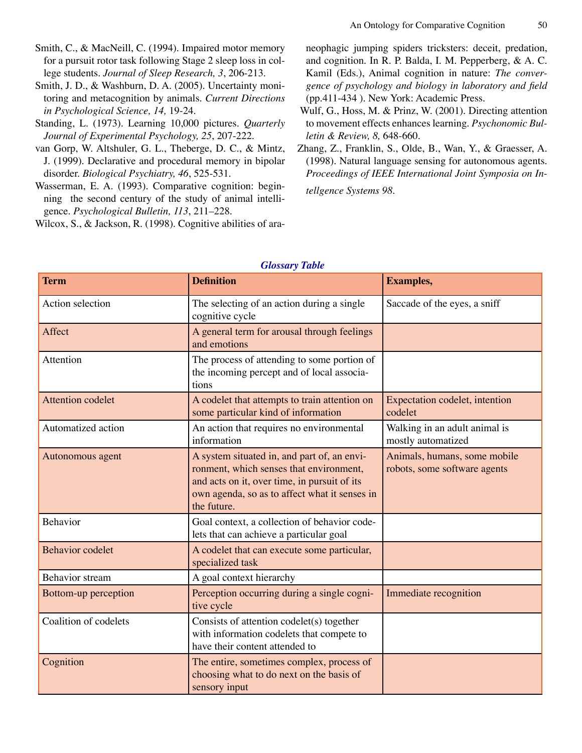- Smith, C., & MacNeill, C. (1994). Impaired motor memory for a pursuit rotor task following Stage 2 sleep loss in college students. *Journal of Sleep Research, 3*, 206-213.
- Smith, J. D., & Washburn, D. A. (2005). Uncertainty monitoring and metacognition by animals. *Current Directions in Psychological Science, 14,* 19-24.
- Standing, L. (1973). Learning 10,000 pictures. *Quarterly Journal of Experimental Psychology, 25*, 207-222.
- van Gorp, W. Altshuler, G. L., Theberge, D. C., & Mintz, J. (1999). Declarative and procedural memory in bipolar disorder. *Biological Psychiatry, 46*, 525-531.
- Wasserman, E. A. (1993). Comparative cognition: beginning the second century of the study of animal intelligence. *Psychological Bulletin, 113*, 211–228.

Wilcox, S., & Jackson, R. (1998). Cognitive abilities of ara-

neophagic jumping spiders tricksters: deceit, predation, and cognition. In R. P. Balda, I. M. Pepperberg, & A. C. Kamil (Eds.), Animal cognition in nature: *The convergence of psychology and biology in laboratory and field*  (pp.411-434 ). New York: Academic Press.

- Wulf, G., Hoss, M. & Prinz, W. (2001). Directing attention to movement effects enhances learning. *Psychonomic Bulletin & Review, 8,* 648-660.
- Zhang, Z., Franklin, S., Olde, B., Wan, Y., & Graesser, A. (1998). Natural language sensing for autonomous agents. *Proceedings of IEEE International Joint Symposia on In-*

*tellgence Systems 98.*

| <b>Term</b>              | <b>Definition</b>                                                                                                                                                                                      | <b>Examples,</b>                                             |
|--------------------------|--------------------------------------------------------------------------------------------------------------------------------------------------------------------------------------------------------|--------------------------------------------------------------|
| Action selection         | The selecting of an action during a single<br>cognitive cycle                                                                                                                                          | Saccade of the eyes, a sniff                                 |
| Affect                   | A general term for arousal through feelings<br>and emotions                                                                                                                                            |                                                              |
| Attention                | The process of attending to some portion of<br>the incoming percept and of local associa-<br>tions                                                                                                     |                                                              |
| <b>Attention codelet</b> | A codelet that attempts to train attention on<br>some particular kind of information                                                                                                                   | Expectation codelet, intention<br>codelet                    |
| Automatized action       | An action that requires no environmental<br>information                                                                                                                                                | Walking in an adult animal is<br>mostly automatized          |
| Autonomous agent         | A system situated in, and part of, an envi-<br>ronment, which senses that environment,<br>and acts on it, over time, in pursuit of its<br>own agenda, so as to affect what it senses in<br>the future. | Animals, humans, some mobile<br>robots, some software agents |
| Behavior                 | Goal context, a collection of behavior code-<br>lets that can achieve a particular goal                                                                                                                |                                                              |
| <b>Behavior codelet</b>  | A codelet that can execute some particular,<br>specialized task                                                                                                                                        |                                                              |
| <b>Behavior</b> stream   | A goal context hierarchy                                                                                                                                                                               |                                                              |
| Bottom-up perception     | Perception occurring during a single cogni-<br>tive cycle                                                                                                                                              | Immediate recognition                                        |
| Coalition of codelets    | Consists of attention codelet(s) together<br>with information codelets that compete to<br>have their content attended to                                                                               |                                                              |
| Cognition                | The entire, sometimes complex, process of<br>choosing what to do next on the basis of<br>sensory input                                                                                                 |                                                              |

## *Glossary Table*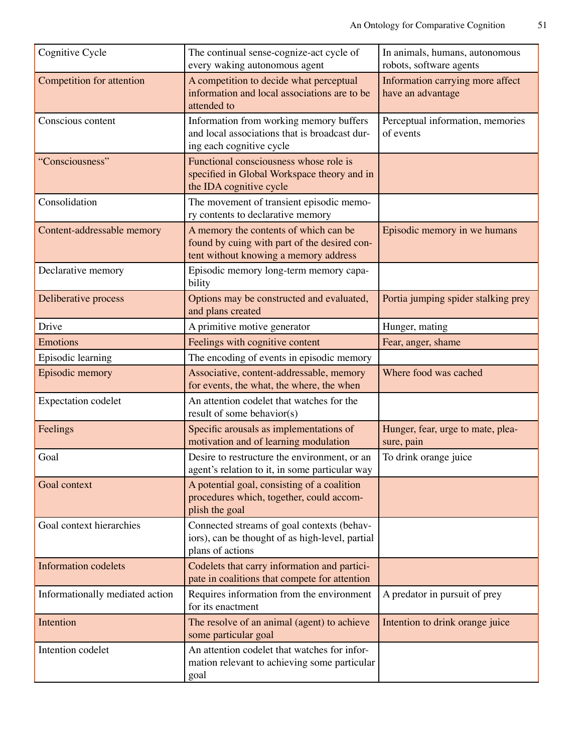| Cognitive Cycle                 | The continual sense-cognize-act cycle of<br>every waking autonomous agent                                                      | In animals, humans, autonomous<br>robots, software agents |
|---------------------------------|--------------------------------------------------------------------------------------------------------------------------------|-----------------------------------------------------------|
| Competition for attention       | A competition to decide what perceptual<br>information and local associations are to be<br>attended to                         | Information carrying more affect<br>have an advantage     |
| Conscious content               | Information from working memory buffers<br>and local associations that is broadcast dur-<br>ing each cognitive cycle           | Perceptual information, memories<br>of events             |
| "Consciousness"                 | Functional consciousness whose role is<br>specified in Global Workspace theory and in<br>the IDA cognitive cycle               |                                                           |
| Consolidation                   | The movement of transient episodic memo-<br>ry contents to declarative memory                                                  |                                                           |
| Content-addressable memory      | A memory the contents of which can be<br>found by cuing with part of the desired con-<br>tent without knowing a memory address | Episodic memory in we humans                              |
| Declarative memory              | Episodic memory long-term memory capa-<br>bility                                                                               |                                                           |
| Deliberative process            | Options may be constructed and evaluated,<br>and plans created                                                                 | Portia jumping spider stalking prey                       |
| Drive                           | A primitive motive generator                                                                                                   | Hunger, mating                                            |
| <b>Emotions</b>                 | Feelings with cognitive content                                                                                                | Fear, anger, shame                                        |
| Episodic learning               | The encoding of events in episodic memory                                                                                      |                                                           |
| Episodic memory                 | Associative, content-addressable, memory<br>for events, the what, the where, the when                                          | Where food was cached                                     |
| <b>Expectation</b> codelet      | An attention codelet that watches for the<br>result of some behavior(s)                                                        |                                                           |
| Feelings                        | Specific arousals as implementations of<br>motivation and of learning modulation                                               | Hunger, fear, urge to mate, plea-<br>sure, pain           |
| Goal                            | Desire to restructure the environment, or an<br>agent's relation to it, in some particular way                                 | To drink orange juice                                     |
| Goal context                    | A potential goal, consisting of a coalition<br>procedures which, together, could accom-<br>plish the goal                      |                                                           |
| Goal context hierarchies        | Connected streams of goal contexts (behav-<br>iors), can be thought of as high-level, partial<br>plans of actions              |                                                           |
| <b>Information codelets</b>     | Codelets that carry information and partici-<br>pate in coalitions that compete for attention                                  |                                                           |
| Informationally mediated action | Requires information from the environment<br>for its enactment                                                                 | A predator in pursuit of prey                             |
| Intention                       | The resolve of an animal (agent) to achieve<br>some particular goal                                                            | Intention to drink orange juice                           |
| Intention codelet               | An attention codelet that watches for infor-<br>mation relevant to achieving some particular<br>goal                           |                                                           |